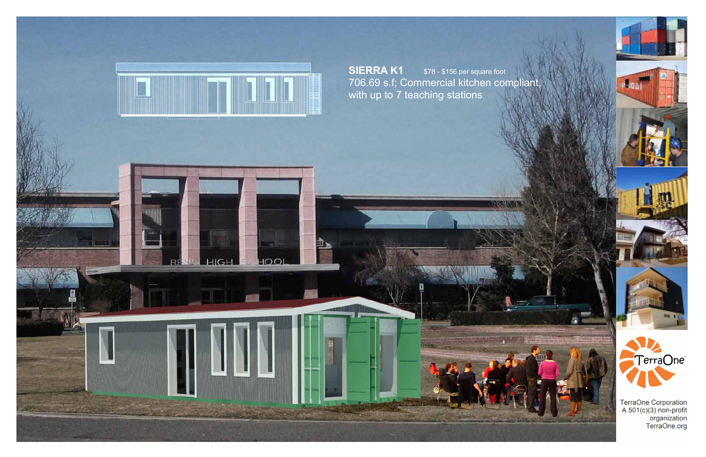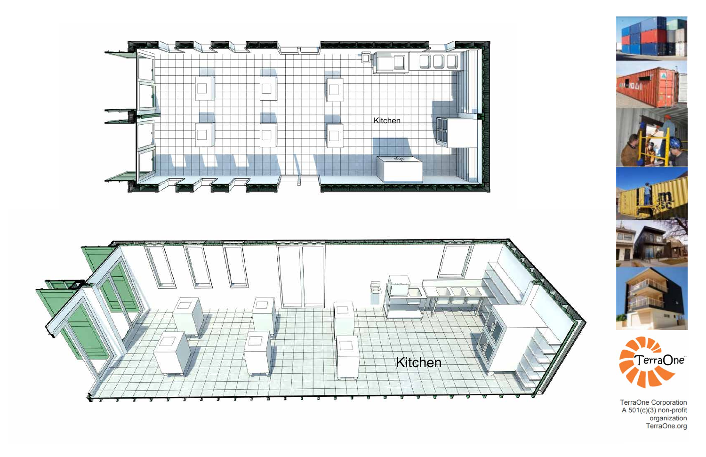







TerraOne Corporation<br>A 501(c)(3) non-profit<br>organization<br>TerraOne.org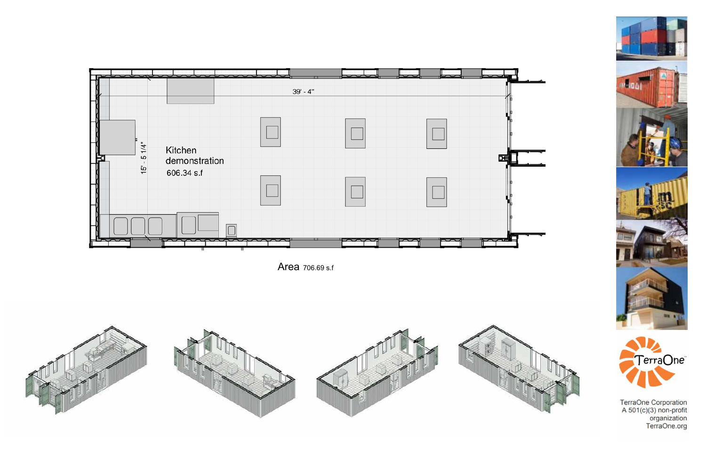

Area 706.69 s.f







TerraOne Corporation<br>A 501(c)(3) non-profit<br>organization<br>TerraOne.org